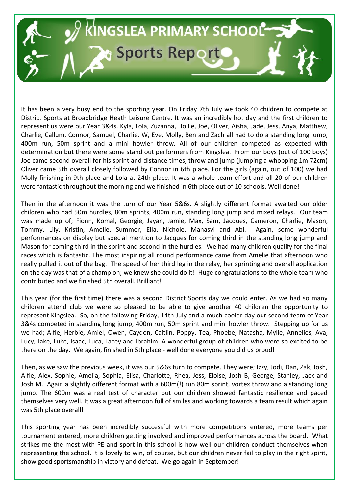## **(INGSLEA PRIMARY SCHOOL** Sports Report

It has been a very busy end to the sporting year. On Friday 7th July we took 40 children to compete at District Sports at Broadbridge Heath Leisure Centre. It was an incredibly hot day and the first children to represent us were our Year 3&4s. Kyla, Lola, Zuzanna, Hollie, Joe, Oliver, Aisha, Jade, Jess, Anya, Matthew, Charlie, Callum, Connor, Samuel, Charlie. W, Eve, Molly, Ben and Zach all had to do a standing long jump, 400m run, 50m sprint and a mini howler throw. All of our children competed as expected with determination but there were some stand out performers from Kingslea. From our boys (out of 100 boys) Joe came second overall for his sprint and distance times, throw and jump (jumping a whopping 1m 72cm) Oliver came 5th overall closely followed by Connor in 6th place. For the girls (again, out of 100) we had Molly finishing in 9th place and Lola at 24th place. It was a whole team effort and all 20 of our children were fantastic throughout the morning and we finished in 6th place out of 10 schools. Well done!

Then in the afternoon it was the turn of our Year 5&6s. A slightly different format awaited our older children who had 50m hurdles, 80m sprints, 400m run, standing long jump and mixed relays. Our team was made up of; Fionn, Komal, Georgie, Jayan, Jamie, Max, Sam, Jacques, Cameron, Charlie, Mason, Tommy, Lily, Kristin, Amelie, Summer, Ella, Nichole, Manasvi and Abi. Again, some wonderful performances on display but special mention to Jacques for coming third in the standing long jump and Mason for coming third in the sprint and second in the hurdles. We had many children qualify for the final races which is fantastic. The most inspiring all round performance came from Amelie that afternoon who really pulled it out of the bag. The speed of her third leg in the relay, her sprinting and overall application on the day was that of a champion; we knew she could do it! Huge congratulations to the whole team who contributed and we finished 5th overall. Brilliant!

This year (for the first time) there was a second District Sports day we could enter. As we had so many children attend club we were so pleased to be able to give another 40 children the opportunity to represent Kingslea. So, on the following Friday, 14th July and a much cooler day our second team of Year 3&4s competed in standing long jump, 400m run, 50m sprint and mini howler throw. Stepping up for us we had; Alfie, Herbie, Amiel, Owen, Caydon, Caitlin, Poppy, Tea, Phoebe, Natasha, Mylie, Annelies, Ava, Lucy, Jake, Luke, Isaac, Luca, Lacey and Ibrahim. A wonderful group of children who were so excited to be there on the day. We again, finished in 5th place - well done everyone you did us proud!

Then, as we saw the previous week, it was our 5&6s turn to compete. They were; Izzy, Jodi, Dan, Zak, Josh, Alfie, Alex, Sophie, Amelia, Sophia, Elisa, Charlotte, Rhea, Jess, Eloise, Josh B, George, Stanley, Jack and Josh M. Again a slightly different format with a 600m(!) run 80m sprint, vortex throw and a standing long jump. The 600m was a real test of character but our children showed fantastic resilience and paced themselves very well. It was a great afternoon full of smiles and working towards a team result which again was 5th place overall!

This sporting year has been incredibly successful with more competitions entered, more teams per tournament entered, more children getting involved and improved performances across the board. What strikes me the most with PE and sport in this school is how well our children conduct themselves when representing the school. It is lovely to win, of course, but our children never fail to play in the right spirit, show good sportsmanship in victory and defeat. We go again in September!